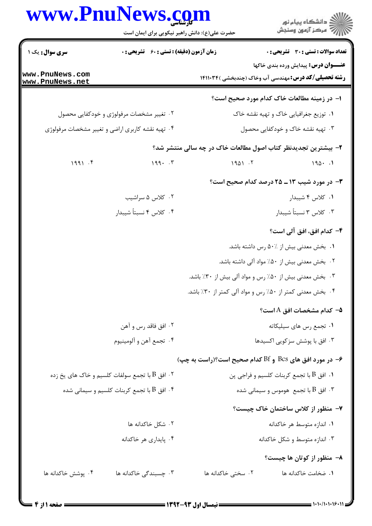## www.PnuNews.com

|                                                            | www.PnuNews.com<br>حضرت علی(ع): دانش راهبر نیکویی برای ایمان است |                    | ڪ دانشڪاه پيا <sub>م</sub> نور<br>∕ِ <i>"مرڪز</i> آزمون وسنڊش                                              |
|------------------------------------------------------------|------------------------------------------------------------------|--------------------|------------------------------------------------------------------------------------------------------------|
| <b>سری سوال :</b> یک ۱                                     | <b>زمان آزمون (دقیقه) : تستی : 60 ٪ تشریحی : 0</b>               |                    | <b>تعداد سوالات : تستي : 30 ٪ تشريحي : 0</b>                                                               |
| www.PnuNews.com<br>www.PnuNews.net                         |                                                                  |                    | <b>عنـــوان درس:</b> پیدایش ورده بندی خاکها<br><b>رشته تحصیلی/کد درس:</b> مهندسی آب وخاک (چندبخشی )۱۴۱۱۰۳۴ |
|                                                            |                                                                  |                    | ا– در زمینه مطالعات خاک کدام مورد صحیح است؟                                                                |
|                                                            | ۰۲ تغییر مشخصات مرفولوژی و خودکفایی محصول                        |                    | ۰۱ توزیع جغرافیایی خاک و تهیه نقشه خاک                                                                     |
|                                                            | ۰۴ تهیه نقشه کاربری اراضی و تغییر مشخصات مرفولوژی                |                    | ۰۳ تهیه نقشه خاک و خودکفایی محصول                                                                          |
|                                                            |                                                                  |                    | ۲- بیشترین تجدیدنظر کتاب اصول مطالعات خاک در چه سالی منتشر شد؟                                             |
| 1991.5                                                     | $199 - 57$                                                       | 1901.7             | 190.1                                                                                                      |
|                                                            |                                                                  |                    | ۰۳ در مورد شیب ۱۳ ـ ۲۵ درصد کدام صحیح است؟                                                                 |
|                                                            | ۰۲ کلاس ۵ سراشیب                                                 |                    | ۰۱ کلاس ۴ شیبدار                                                                                           |
|                                                            | ۰۴ كلاس ۴ نسبتاً شيبدار                                          |                    | ۰۳ كلاس ۳ نسبتاً شيبدار                                                                                    |
|                                                            |                                                                  |                    | ۴– کدام افق، افق آلی است؟                                                                                  |
|                                                            |                                                                  |                    | ۰۱ بخش معدنی بیش از ۵۰٪ رس داشته باشد.                                                                     |
|                                                            |                                                                  |                    | ۰۲ بخش معدنی بیش از ۵۰٪ مواد آلی داشته باشد.                                                               |
|                                                            |                                                                  |                    | ۰۳ بخش معدنی بیش از ۵۰٪ رس و مواد آلی بیش از ۳۰٪ باشد.                                                     |
|                                                            |                                                                  |                    | ۰۴ بخش معدنی کمتر از ۵۰٪ رس و مواد آلی کمتر از ۳۰٪ باشد.                                                   |
|                                                            |                                                                  |                    | ۵− كدام مشخصات افق A است؟                                                                                  |
|                                                            | ۰۲ افق فاقد رس و آهن                                             |                    | ۰۱ تجمع رس های سیلیکاته                                                                                    |
|                                                            | ۰۴ تجمع آهن و آلومينيوم                                          |                    | ۰۳ افق با پوشش سزکویی اکسیدها                                                                              |
|                                                            |                                                                  |                    | ۶- در مورد افق های Bcs و Bf کدام صحیح است؟(راست به چپ)                                                     |
|                                                            | ۰۲ افق B با تجمع سولفات کلسیم و خاک های یخ زده $\,$              |                    | ۰۱ افق B با تجمع کربنات کلسیم و فراجی پن                                                                   |
| ۰۴ افق B با تجمع کربنات کلسیم و سیمانی شده $\, {\bf B} \,$ |                                                                  |                    | ۰۳ افق $\mathrm B$ با تجمع  هوموس و سیمانی شده $\mathrm P$                                                 |
|                                                            |                                                                  |                    | - منظور از کلاس ساختمان خاک چیست؟                                                                          |
|                                                            | ۰۲ شکل خاکدانه ها                                                |                    | ۰۱ اندازه متوسط هر خاکدانه                                                                                 |
|                                                            | ۰۴ پایداری هر خاکدانه                                            |                    | ۰۳ اندازه متوسط و شکل خاکدانه                                                                              |
|                                                            |                                                                  |                    | ۸- منظور از کوتان ها چیست؟                                                                                 |
| ۰۴ پوشش خاکدانه ها                                         | ۰۳ چسبندگی خاکدانه ها                                            | ۰۲ سختی خاکدانه ها | ٠١. ضخامت خاكدانه ها                                                                                       |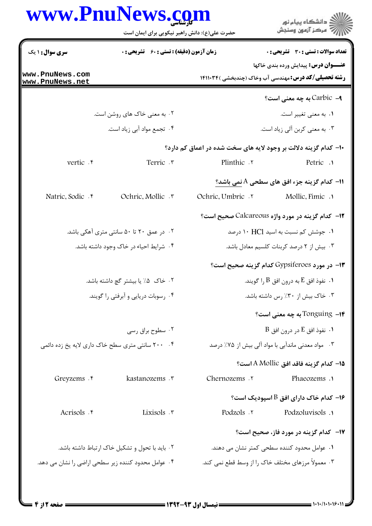|                                                                                                       | www.PnuNews.com<br>حضرت علی(ع): دانش راهبر نیکویی برای ایمان است |                                                   | ر<br>اگر دانشگاه پيام نور<br>اگر مرکز آزمون وسنجش                                                          |  |
|-------------------------------------------------------------------------------------------------------|------------------------------------------------------------------|---------------------------------------------------|------------------------------------------------------------------------------------------------------------|--|
| سری سوال: ۱ یک                                                                                        | <b>زمان آزمون (دقیقه) : تستی : 60 ٪ تشریحی : 0</b>               |                                                   | تعداد سوالات : تستى : 30 ٪ تشريحي : 0                                                                      |  |
| www.PnuNews.com<br>www.PnuNews.net                                                                    |                                                                  |                                                   | <b>عنـــوان درس:</b> پیدایش ورده بندی خاکها<br><b>رشته تحصیلی/کد درس:</b> مهندسی آب وخاک (چندبخشی )۱۴۱۱۰۳۴ |  |
|                                                                                                       |                                                                  |                                                   | ۹– Carbicبه چه معنی است؟                                                                                   |  |
|                                                                                                       | ۰۲ به معنی خاک های روشن است.                                     |                                                   | ۰۱ به معنى تغيير است.                                                                                      |  |
|                                                                                                       | ۰۴ تجمع مواد آبي زياد است.                                       |                                                   | ۰۳ به معنی کربن آلی زیاد است.                                                                              |  |
|                                                                                                       |                                                                  |                                                   | ۱۰– کدام گزینه دلالت بر وجود لایه های سخت شده در اعماق کم دارد؟                                            |  |
| vertic . e                                                                                            | Terric .r                                                        | Plinthic .                                        | Petric .                                                                                                   |  |
|                                                                                                       |                                                                  |                                                   | 11- كدام گزينه جزء افق هاي سطحي A نمي باشد؟                                                                |  |
| Natric, Sodic . e                                                                                     | Ochric, Mollic .                                                 | Ochric Umbric Y                                   | Mollic, Fimic .                                                                                            |  |
|                                                                                                       |                                                                  |                                                   | ۱۲- کدام گزینه در مورد واژه Calcareous صحیح است؟                                                           |  |
|                                                                                                       | ۰۲ در عمق ۲۰ تا ۵۰ سانتی متری آهکی باشد.                         |                                                   | ۰۱ جوشش کم نسبت به اسید ۱۰ HCl درصد                                                                        |  |
|                                                                                                       | ۰۴ شرایط احیاء در خاک وجود داشته باشد.                           |                                                   | ۰۳ بیش از ۲ درصد کربنات کلسیم معادل باشد.                                                                  |  |
|                                                                                                       |                                                                  |                                                   | ۱۳– در مورد Gypsiferoes کدام گزینه صحیح است؟                                                               |  |
|                                                                                                       | ۰۲ خاک  ۵٪ یا بیشتر گچ داشته باشد.                               | ۰۱ نفوذ افق $\rm E$ به درون افق $\rm B$ را گویند. |                                                                                                            |  |
|                                                                                                       | ۰۴ رسوبات دریایی و آبرفتی را گویند.                              | ۰۳ خاک بیش از ۳۰٪ رس داشته باشد.                  |                                                                                                            |  |
|                                                                                                       |                                                                  |                                                   | ا– Tonguing به چه معنی است؟                                                                                |  |
|                                                                                                       | ۰۲ سطوح براق رسی                                                 |                                                   | $\, {\bf B} \,$ ۰ نفوذ افق $\, {\bf E} \,$ در درون افق $\,$ ۰                                              |  |
|                                                                                                       | ۰۴ مسانتی متری سطح خاک داری لایه یخ زده دائمی *                  |                                                   | ۰۳ مواد معدنی ماندآبی با مواد آلی بیش از ۷۵٪ درصد                                                          |  |
|                                                                                                       |                                                                  |                                                   | 1 <b>۵</b> – كدام گزينه فاقد افق A Mollic است؟                                                             |  |
| Greyzems . e                                                                                          | kastanozems .r                                                   | Chernozems .                                      | Phaeozems .                                                                                                |  |
|                                                                                                       |                                                                  |                                                   | اسپودیک است؟ (ارای افق $\, {\bf B} \,$ اسپودیک است $\,$                                                    |  |
| Acrisols . e                                                                                          | Lixisols .r                                                      | Podzols .r                                        | Podzoluvisols .                                                                                            |  |
|                                                                                                       |                                                                  |                                                   |                                                                                                            |  |
|                                                                                                       |                                                                  |                                                   | ۱۷– کدام گزینه در مورد فاز، صحیح است؟                                                                      |  |
| ۰۲ باید با تحول و تشکیل خاک ارتباط داشته باشد.<br>۰۴ عوامل محدود کننده زیر سطحی اراضی را نشان می دهد. |                                                                  |                                                   | ۰۱ عوامل محدود کننده سطحی کمتر نشان می دهند.<br>۰۳ معمولاً مرزهای مختلف خاک را از وسط قطع نمی کند.         |  |
|                                                                                                       |                                                                  |                                                   |                                                                                                            |  |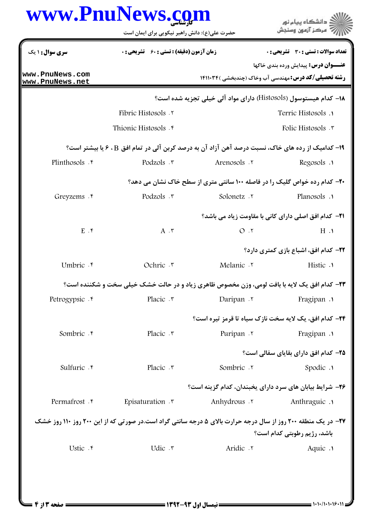| www.PnuNews.com                    | حضرت علی(ع): دانش راهبر نیکویی برای ایمان است                                                                        |                                                                                  | " مرڪز آزمون وسنڊش                                                                                         |
|------------------------------------|----------------------------------------------------------------------------------------------------------------------|----------------------------------------------------------------------------------|------------------------------------------------------------------------------------------------------------|
| <b>سری سوال :</b> ۱ یک             | <b>زمان آزمون (دقیقه) : تستی : 60 ٪ تشریحی : 0</b>                                                                   |                                                                                  | تعداد سوالات : تستي : 30 ٪ تشريحي : 0                                                                      |
| www.PnuNews.com<br>www.PnuNews.net |                                                                                                                      |                                                                                  | <b>عنـــوان درس:</b> پيدايش ورده بندي خاكها<br><b>رشته تحصیلی/کد درس: مهندسی آب وخاک (چندبخشی )۱۴۱۱۰۳۴</b> |
|                                    |                                                                                                                      | ۱۸– کدام هیستوسول (Histosols) دارای مواد آلی خیلی تجزیه شده است؟                 |                                                                                                            |
|                                    | <b>Fibric Histosols</b> . ٢                                                                                          |                                                                                  | Terric Histosols .1                                                                                        |
|                                    | Thionic Histosols . f                                                                                                |                                                                                  | Folic Histosols .                                                                                          |
|                                    | 1۹- کدامیک از رده های خاک، نسبت درصد آهن آزاد آن به درصد کربن آلی در تمام افق B ، ۶ یا بیشتر است؟                    |                                                                                  |                                                                                                            |
| Plinthosols . e                    | Podzols .r                                                                                                           | Arenosols .                                                                      | Regosols .                                                                                                 |
|                                    |                                                                                                                      | <b>۲۰- کدام رده خواص گلیک را در فاصله ۱۰۰ سانتی متری از سطح خاک نشان می دهد؟</b> |                                                                                                            |
| Greyzems . F                       | Podzols .r                                                                                                           | Solonetz .                                                                       | Planosols .                                                                                                |
|                                    |                                                                                                                      |                                                                                  | 21− کدام افق اصلی دارای کانی با مقاومت زیاد می باشد؟                                                       |
| $E \cdot f$                        | $A \cdot \tau$                                                                                                       | $O \cdot 7$                                                                      | $H \cdot Y$                                                                                                |
|                                    |                                                                                                                      |                                                                                  | <b>3۲- کدام افق، اشباع بازی کمتری دارد</b> ؟                                                               |
| Umbric . e                         | Ochric .r                                                                                                            | Melanic .                                                                        | Histic .                                                                                                   |
|                                    | <b>۲۳</b> - کدام افق یک لایه با بافت لومی، وزن مخصوص ظاهری زیاد و در حالت خشک خیلی سخت و شکننده است؟                 |                                                                                  |                                                                                                            |
| Petrogypsic . e                    | Placic . ٣                                                                                                           | Daripan .                                                                        | Fragipan .                                                                                                 |
|                                    |                                                                                                                      | <b>34- كدام افق، یک لایه سخت نازک سیاه تا قرمز تیره است؟</b>                     |                                                                                                            |
| Sombric . e                        | Placic . ٣                                                                                                           | Puripan .                                                                        | Fragipan .                                                                                                 |
|                                    |                                                                                                                      |                                                                                  | <b>۲۵- کدام افق دارای بقایای سفالی است؟</b>                                                                |
| Sulfuric . r                       | Placic . ٣                                                                                                           | Sombric .Y                                                                       | Spodic .1                                                                                                  |
|                                    |                                                                                                                      | ۲۶- شرایط بیابان های سرد دارای یخبندان، کدام گزینه است؟                          |                                                                                                            |
| Permafrost . e                     | Episaturation .                                                                                                      | Anhydrous . ٢                                                                    | Anthraguic .                                                                                               |
|                                    | <b>۲۷</b> - در یک منطقه ۲۰۰ روز از سال درجه حرارت بالای ۵ درجه سانتی گراد است.در صورتی که از این ۲۰۰ روز ۱۱۰ روز خشک |                                                                                  |                                                                                                            |
|                                    |                                                                                                                      |                                                                                  | باشد، رژیم رطوبتی کدام است؟                                                                                |
| Ustic .۴                           | Udic .r                                                                                                              | Aridic . ٢                                                                       | Aquic .                                                                                                    |